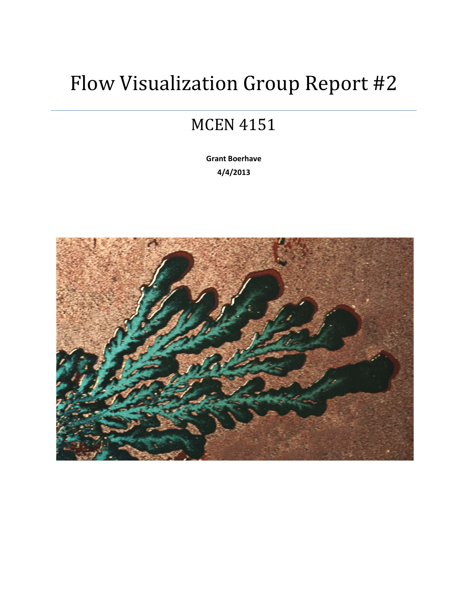## Flow Visualization Group Report #2

## MCEN 4151

**Grant Boerhave 4/4/2013**

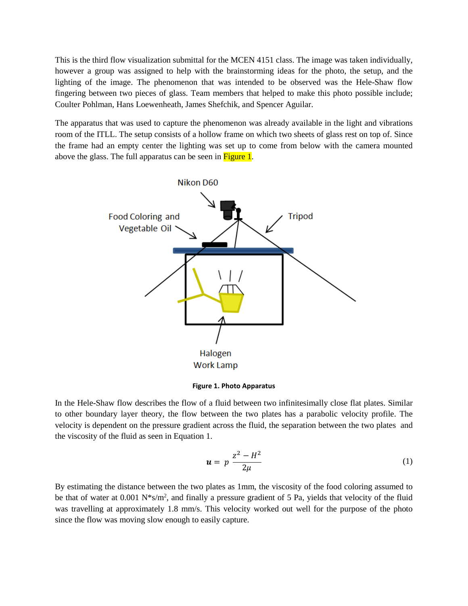This is the third flow visualization submittal for the MCEN 4151 class. The image was taken individually, however a group was assigned to help with the brainstorming ideas for the photo, the setup, and the lighting of the image. The phenomenon that was intended to be observed was the Hele-Shaw flow fingering between two pieces of glass. Team members that helped to make this photo possible include; Coulter Pohlman, Hans Loewenheath, James Shefchik, and Spencer Aguilar.

The apparatus that was used to capture the phenomenon was already available in the light and vibrations room of the ITLL. The setup consists of a hollow frame on which two sheets of glass rest on top of. Since the frame had an empty center the lighting was set up to come from below with the camera mounted above the glass. The full apparatus can be seen in Figure 1.



**Figure 1. Photo Apparatus**

In the Hele-Shaw flow describes the flow of a fluid between two infinitesimally close flat plates. Similar to other boundary layer theory, the flow between the two plates has a parabolic velocity profile. The velocity is dependent on the pressure gradient across the fluid, the separation between the two plates and the viscosity of the fluid as seen in Equation 1.

$$
u = p \frac{z^2 - H^2}{2\mu} \tag{1}
$$

By estimating the distance between the two plates as 1mm, the viscosity of the food coloring assumed to be that of water at 0.001 N<sup>\*</sup>s/m<sup>2</sup>, and finally a pressure gradient of 5 Pa, yields that velocity of the fluid was travelling at approximately 1.8 mm/s. This velocity worked out well for the purpose of the photo since the flow was moving slow enough to easily capture.